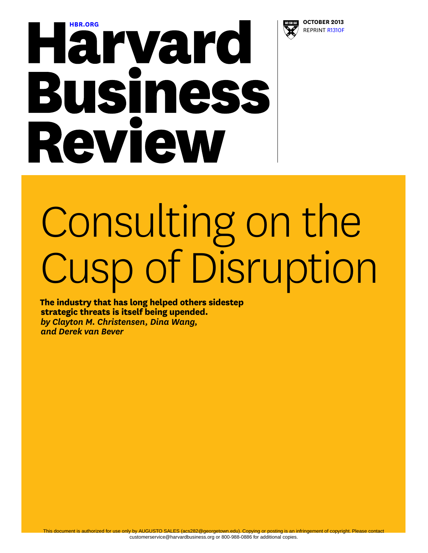

# **[HBR.ORG](http://hbr.org) OCTOBER 2013**<br> **OCTOBER 2013**<br> **OCTOBER 2013 Business** Review

# Consulting on the Cusp of Disruption

**The industry that has long helped others sidestep strategic threats is itself being upended.**  *by Clayton M. Christensen, Dina Wang, and Derek van Bever*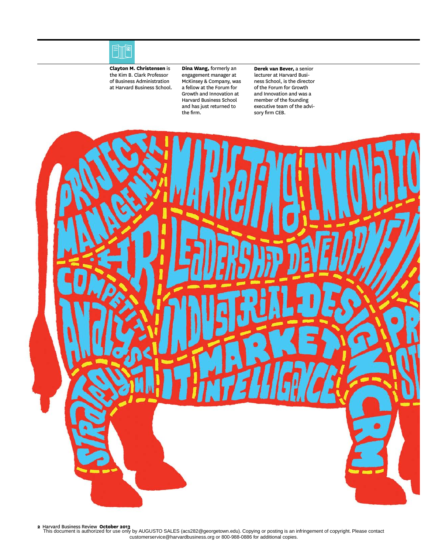

**Clayton M. Christensen** is the Kim B. Clark Professor of Business Administration at Harvard Business School. **Dina Wang,** formerly an engagement manager at McKinsey & Company, was a fellow at the Forum for Growth and Innovation at Harvard Business School and has just returned to the firm.

**Derek van Bever,** a senior lecturer at Harvard Business School, is the director of the Forum for Growth and Innovation and was a member of the founding executive team of the advisory firm CEB.



**2** Harvard Business Review **October 2013** This document is authorized for use only by AUGUSTO SALES (acs282@georgetown.edu). Copying or posting is an infringement of copyright. Please contact customerservice@harvardbusiness.org or 800-988-0886 for additional copies.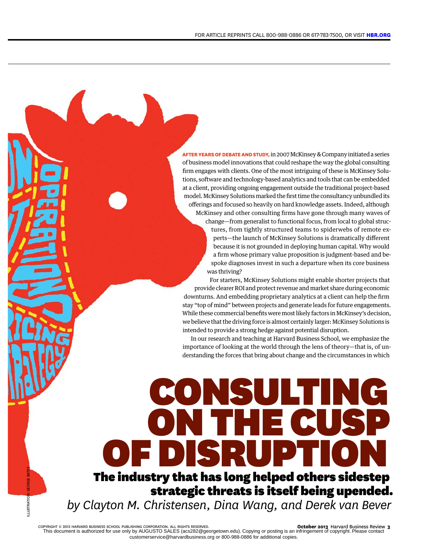**AFTER YEARS OF DEBATE AND STUDY,** in 2007 McKinsey & Company initiated a series of business model innovations that could reshape the way the global consulting firm engages with clients. One of the most intriguing of these is McKinsey Solutions, software and technology-based analytics and tools that can be embedded at a client, providing ongoing engagement outside the traditional project-based model. McKinsey Solutions marked the first time the consultancy unbundled its offerings and focused so heavily on hard knowledge assets. Indeed, although McKinsey and other consulting firms have gone through many waves of change—from generalist to functional focus, from local to global structures, from tightly structured teams to spiderwebs of remote experts—the launch of McKinsey Solutions is dramatically different because it is not grounded in deploying human capital. Why would a firm whose primary value proposition is judgment-based and bespoke diagnoses invest in such a departure when its core business

was thriving? For starters, McKinsey Solutions might enable shorter projects that provide clearer ROI and protect revenue and market share during economic downturns. And embedding proprietary analytics at a client can help the firm stay "top of mind" between projects and generate leads for future engagements. While these commercial benefits were most likely factors in McKinsey's decision, we believe that the driving force is almost certainly larger: McKinsey Solutions is intended to provide a strong hedge against potential disruption.

In our research and teaching at Harvard Business School, we emphasize the importance of looking at the world through the lens of theory—that is, of understanding the forces that bring about change and the circumstances in which

ONSULTING

# OF DISRUP The industry that has long helped others sidestep strategic threats is itself being upended.

*by Clayton M. Christensen, Dina Wang, and Derek van Bever*

ON THE

ILLUSTRATION: GEORGE BATES

**LLUSTRATIC**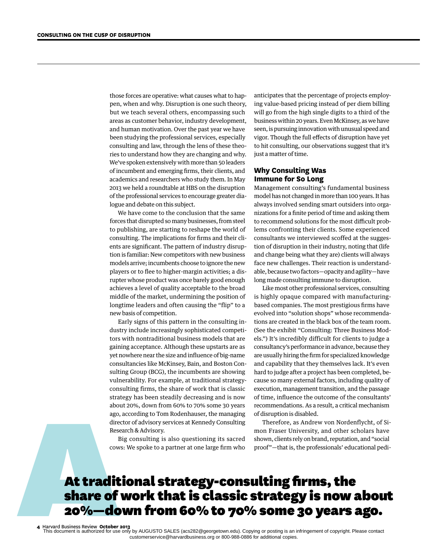those forces are operative: what causes what to happen, when and why. Disruption is one such theory, but we teach several others, encompassing such areas as customer behavior, industry development, and human motivation. Over the past year we have been studying the professional services, especially consulting and law, through the lens of these theories to understand how they are changing and why. We've spoken extensively with more than 50 leaders of incumbent and emerging firms, their clients, and academics and researchers who study them. In May 2013 we held a roundtable at HBS on the disruption of the professional services to encourage greater dialogue and debate on this subject.

We have come to the conclusion that the same forces that disrupted so many businesses, from steel to publishing, are starting to reshape the world of consulting. The implications for firms and their clients are significant. The pattern of industry disruption is familiar: New competitors with new business models arrive; incumbents choose to ignore the new players or to flee to higher-margin activities; a disrupter whose product was once barely good enough achieves a level of quality acceptable to the broad middle of the market, undermining the position of longtime leaders and often causing the "flip" to a new basis of competition.

Early signs of this pattern in the consulting industry include increasingly sophisticated competitors with nontraditional business models that are gaining acceptance. Although these upstarts are as yet nowhere near the size and influence of big-name consultancies like McKinsey, Bain, and Boston Consulting Group (BCG), the incumbents are showing vulnerability. For example, at traditional strategyconsulting firms, the share of work that is classic strategy has been steadily decreasing and is now about 20%, down from 60% to 70% some 30 years ago, according to Tom Rodenhauser, the managing director of advisory services at Kennedy Consulting Research & Advisory.

Big consulting is also questioning its sacred cows: We spoke to a partner at one large firm who anticipates that the percentage of projects employing value-based pricing instead of per diem billing will go from the high single digits to a third of the business within 20 years. Even McKinsey, as we have seen, is pursuing innovation with unusual speed and vigor. Though the full effects of disruption have yet to hit consulting, our observations suggest that it's just a matter of time.

# **Why Consulting Was Immune for So Long**

Management consulting's fundamental business model has not changed in more than 100 years. It has always involved sending smart outsiders into organizations for a finite period of time and asking them to recommend solutions for the most difficult problems confronting their clients. Some experienced consultants we interviewed scoffed at the suggestion of disruption in their industry, noting that (life and change being what they are) clients will always face new challenges. Their reaction is understandable, because two factors—opacity and agility—have long made consulting immune to disruption.

Like most other professional services, consulting is highly opaque compared with manufacturingbased companies. The most prestigious firms have evolved into "solution shops" whose recommendations are created in the black box of the team room. (See the exhibit "Consulting: Three Business Models.") It's incredibly difficult for clients to judge a consultancy's performance in advance, because they are usually hiring the firm for specialized knowledge and capability that they themselves lack. It's even hard to judge after a project has been completed, because so many external factors, including quality of execution, management transition, and the passage of time, influence the outcome of the consultants' recommendations. As a result, a critical mechanism of disruption is disabled.

Therefore, as Andrew von Nordenflycht, of Simon Fraser University, and other scholars have shown, clients rely on brand, reputation, and "social proof"—that is, the professionals' educational pedi-

# Strategy has been steadily decreasing and is now of time, influence the outcome of the about 20%, down from 60% to 70% some 30 years recommendations. As a result, a critical director of advisory. The managing of disruption share of work that is classic strategy is now about 20%—down from 60% to 70% some 30 years ago.

**4** Harvard Business Review **October 2013** This document is authorized for use only by AUGUSTO SALES (acs282@georgetown.edu). Copying or posting is an infringement of copyright. Please contact customerservice@harvardbusiness.org or 800-988-0886 for additional copies.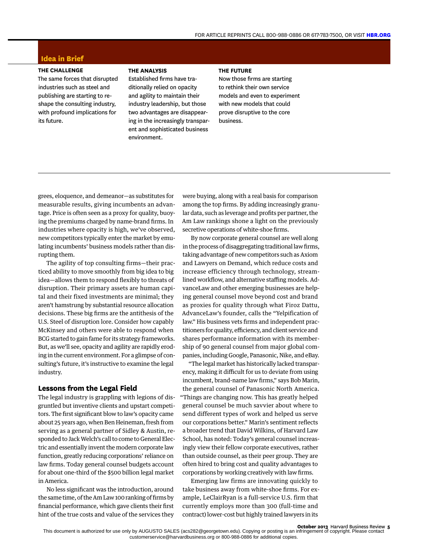# **Idea in Brief**

## **THE CHALLENGE**

The same forces that disrupted industries such as steel and publishing are starting to reshape the consulting industry, with profound implications for its future.

### **THE ANALYSIS**

Established firms have traditionally relied on opacity and agility to maintain their industry leadership, but those two advantages are disappearing in the increasingly transparent and sophisticated business environment.

## **THE FUTURE**

Now those firms are starting to rethink their own service models and even to experiment with new models that could prove disruptive to the core business.

grees, eloquence, and demeanor—as substitutes for measurable results, giving incumbents an advantage. Price is often seen as a proxy for quality, buoying the premiums charged by name-brand firms. In industries where opacity is high, we've observed, new competitors typically enter the market by emulating incumbents' business models rather than disrupting them.

The agility of top consulting firms—their practiced ability to move smoothly from big idea to big idea—allows them to respond flexibly to threats of disruption. Their primary assets are human capital and their fixed investments are minimal; they aren't hamstrung by substantial resource allocation decisions. These big firms are the antithesis of the U.S. Steel of disruption lore. Consider how capably McKinsey and others were able to respond when BCG started to gain fame for its strategy frameworks. But, as we'll see, opacity and agility are rapidly eroding in the current environment. For a glimpse of consulting's future, it's instructive to examine the legal industry.

## **Lessons from the Legal Field**

The legal industry is grappling with legions of disgruntled but inventive clients and upstart competitors. The first significant blow to law's opacity came about 25 years ago, when Ben Heineman, fresh from serving as a general partner of Sidley & Austin, responded to Jack Welch's call to come to General Electric and essentially invent the modern corporate law function, greatly reducing corporations' reliance on law firms. Today general counsel budgets account for about one-third of the \$500 billion legal market in America.

No less significant was the introduction, around the same time, of the Am Law 100 ranking of firms by financial performance, which gave clients their first hint of the true costs and value of the services they were buying, along with a real basis for comparison among the top firms. By adding increasingly granular data, such as leverage and profits per partner, the Am Law rankings shone a light on the previously secretive operations of white-shoe firms.

By now corporate general counsel are well along in the process of disaggregating traditional law firms, taking advantage of new competitors such as Axiom and Lawyers on Demand, which reduce costs and increase efficiency through technology, streamlined workflow, and alternative staffing models. AdvanceLaw and other emerging businesses are helping general counsel move beyond cost and brand as proxies for quality through what Firoz Dattu, AdvanceLaw's founder, calls the "Yelpification of law." His business vets firms and independent practitioners for quality, efficiency, and client service and shares performance information with its membership of 90 general counsel from major global companies, including Google, Panasonic, Nike, and eBay.

"The legal market has historically lacked transparency, making it difficult for us to deviate from using incumbent, brand-name law firms," says Bob Marin, the general counsel of Panasonic North America. "Things are changing now. This has greatly helped general counsel be much savvier about where to send different types of work and helped us serve our corporations better." Marin's sentiment reflects a broader trend that David Wilkins, of Harvard Law School, has noted: Today's general counsel increasingly view their fellow corporate executives, rather than outside counsel, as their peer group. They are often hired to bring cost and quality advantages to corporations by working creatively with law firms.

Emerging law firms are innovating quickly to take business away from white-shoe firms. For example, LeClairRyan is a full-service U.S. firm that currently employs more than 300 (full-time and contract) lower-cost but highly trained lawyers in its

**October 2013** Harvard Business Review **5**

This document is authorized for use only by AUGUSTO SALES (acs282@georgetown.edu). Copying or posting is an infringement of copyright. Please contact customerservice@harvardbusiness.org or 800-988-0886 for additional copies.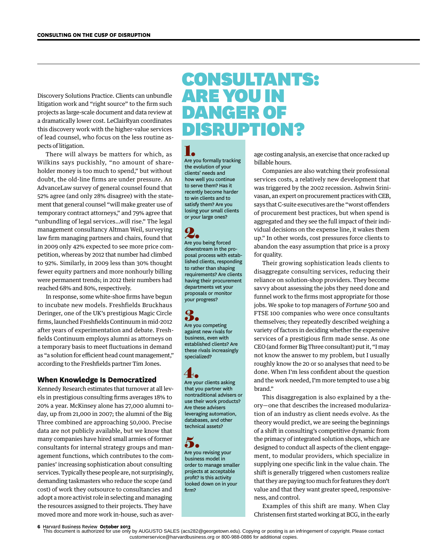Discovery Solutions Practice. Clients can unbundle litigation work and "right source" to the firm such projects as large-scale document and data review at a dramatically lower cost. LeClairRyan coordinates this discovery work with the higher-value services of lead counsel, who focus on the less routine aspects of litigation.

There will always be matters for which, as Wilkins says puckishly, "no amount of shareholder money is too much to spend," but without doubt, the old-line firms are under pressure. An AdvanceLaw survey of general counsel found that 52% agree (and only 28% disagree) with the statement that general counsel "will make greater use of temporary contract attorneys," and 79% agree that "unbundling of legal services…will rise." The legal management consultancy Altman Weil, surveying law firm managing partners and chairs, found that in 2009 only 42% expected to see more price competition, whereas by 2012 that number had climbed to 92%. Similarly, in 2009 less than 30% thought fewer equity partners and more nonhourly billing were permanent trends; in 2012 their numbers had reached 68% and 80%, respectively.

In response, some white-shoe firms have begun to incubate new models. Freshfields Bruckhaus Deringer, one of the UK's prestigious Magic Circle firms, launched Freshfields Continuum in mid-2012 after years of experimentation and debate. Freshfields Continuum employs alumni as attorneys on a temporary basis to meet fluctuations in demand as "a solution for efficient head count management," according to the Freshfields partner Tim Jones.

# **When Knowledge Is Democratized**

Kennedy Research estimates that turnover at all levels in prestigious consulting firms averages 18% to 20% a year. McKinsey alone has 27,000 alumni today, up from 21,000 in 2007; the alumni of the Big Three combined are approaching 50,000. Precise data are not publicly available, but we know that many companies have hired small armies of former consultants for internal strategy groups and management functions, which contributes to the companies' increasing sophistication about consulting services. Typically these people are, not surprisingly, demanding taskmasters who reduce the scope (and cost) of work they outsource to consultancies and adopt a more activist role in selecting and managing the resources assigned to their projects. They have moved more and more work in-house, such as aver-

# CONSULTANTS: ARE YOU IN DANGER OF DISRUPTION?

1.

Are you formally tracking the evolution of your clients' needs and how well you continue to serve them? Has it recently become harder to win clients and to satisfy them? Are you losing your small clients or your large ones?

2. Are you being forced downstream in the proposal process with established clients, responding to rather than shaping requirements? Are clients having their procurement departments vet your proposals or monitor your progress?

# 3.

Are you competing against new rivals for business, even with established clients? Are these rivals increasingly specialized?

 $4.4$ Are your clients asking that you partner with nontraditional advisers or use their work products? Are these advisers leveraging automation, databases, and other technical assets?

5. Are you revising your business model in order to manage smaller projects at acceptable profit? Is this activity looked down on in your firm?

age costing analysis, an exercise that once racked up billable hours.

Companies are also watching their professional services costs, a relatively new development that was triggered by the 2002 recession. Ashwin Srinivasan, an expert on procurement practices with CEB, says that C-suite executives are the "worst offenders of procurement best practices, but when spend is aggregated and they see the full impact of their individual decisions on the expense line, it wakes them up." In other words, cost pressures force clients to abandon the easy assumption that price is a proxy for quality.

Their growing sophistication leads clients to disaggregate consulting services, reducing their reliance on solution-shop providers. They become savvy about assessing the jobs they need done and funnel work to the firms most appropriate for those jobs. We spoke to top managers of *Fortune* 500 and FTSE 100 companies who were once consultants themselves; they repeatedly described weighing a variety of factors in deciding whether the expensive services of a prestigious firm made sense. As one CEO (and former Big Three consultant) put it, "I may not know the answer to my problem, but I usually roughly know the 20 or so analyses that need to be done. When I'm less confident about the question and the work needed, I'm more tempted to use a big brand."

This disaggregation is also explained by a theory—one that describes the increased modularization of an industry as client needs evolve. As the theory would predict, we are seeing the beginnings of a shift in consulting's competitive dynamic from the primacy of integrated solution shops, which are designed to conduct all aspects of the client engagement, to modular providers, which specialize in supplying one specific link in the value chain. The shift is generally triggered when customers realize that they are paying too much for features they don't value and that they want greater speed, responsiveness, and control.

Examples of this shift are many. When Clay Christensen first started working at BCG, in the early

**6** Harvard Business Review **October 2013**

This document is authorized for use only by AUGUSTO SALES (acs282@georgetown.edu). Copying or posting is an infringement of copyright. Please contact customerservice@harvardbusiness.org or 800-988-0886 for additional copies.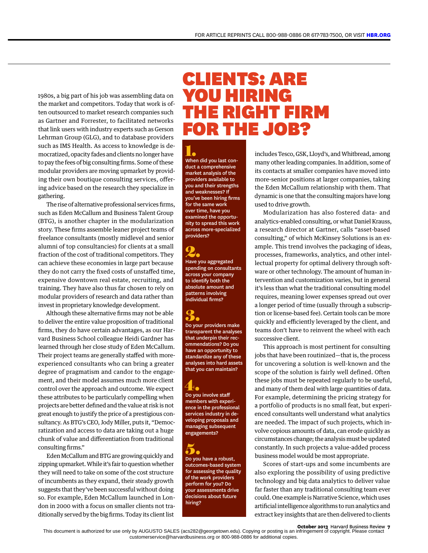1980s, a big part of his job was assembling data on the market and competitors. Today that work is often outsourced to market research companies such as Gartner and Forrester, to facilitated networks that link users with industry experts such as Gerson Lehrman Group (GLG), and to database providers such as IMS Health. As access to knowledge is democratized, opacity fades and clients no longer have to pay the fees of big consulting firms. Some of these modular providers are moving upmarket by providing their own boutique consulting services, offering advice based on the research they specialize in gathering.

The rise of alternative professional services firms, such as Eden McCallum and Business Talent Group (BTG), is another chapter in the modularization story. These firms assemble leaner project teams of freelance consultants (mostly midlevel and senior alumni of top consultancies) for clients at a small fraction of the cost of traditional competitors. They can achieve these economies in large part because they do not carry the fixed costs of unstaffed time, expensive downtown real estate, recruiting, and training. They have also thus far chosen to rely on modular providers of research and data rather than invest in proprietary knowledge development.

Although these alternative firms may not be able to deliver the entire value proposition of traditional firms, they do have certain advantages, as our Harvard Business School colleague Heidi Gardner has learned through her close study of Eden McCallum. Their project teams are generally staffed with moreexperienced consultants who can bring a greater degree of pragmatism and candor to the engagement, and their model assumes much more client control over the approach and outcome. We expect these attributes to be particularly compelling when projects are better defined and the value at risk is not great enough to justify the price of a prestigious consultancy. As BTG's CEO, Jody Miller, puts it, "Democratization and access to data are taking out a huge chunk of value and differentiation from traditional consulting firms."

Eden McCallum and BTG are growing quickly and zipping upmarket. While it's fair to question whether they will need to take on some of the cost structure of incumbents as they expand, their steady growth suggests that they've been successful without doing so. For example, Eden McCallum launched in London in 2000 with a focus on smaller clients not traditionally served by the big firms. Today its client list

# CLIENTS: ARE YOU HIRING THE RIGHT FIRM FOR THE JOB?

1. When did you last conduct a comprehensive market analysis of the providers available to you and their strengths and weaknesses? If you've been hiring firms for the same work over time, have you examined the opportunity to spread this work across more-specialized providers?

**2.**<br>Have you aggregated spending on consultants across your company to identify both the absolute amount and patterns involving individual firms?

# 3.

Do your providers make transparent the analyses that underpin their recommendations? Do you have an opportunity to standardize any of these analyses into hard assets that you can maintain?

# 4.

Do you involve staff members with experience in the professional services industry in developing proposals and managing subsequent engagements?

5. Do you have a robust, outcomes-based system for assessing the quality of the work providers perform for you? Do your assessments drive decisions about future hiring?

includes Tesco, GSK, Lloyd's, and Whitbread, among many other leading companies. In addition, some of its contacts at smaller companies have moved into more-senior positions at larger companies, taking the Eden McCallum relationship with them. That dynamic is one that the consulting majors have long used to drive growth.

Modularization has also fostered data- and analytics-enabled consulting, or what Daniel Krauss, a research director at Gartner, calls "asset-based consulting," of which McKinsey Solutions is an example. This trend involves the packaging of ideas, processes, frameworks, analytics, and other intellectual property for optimal delivery through software or other technology. The amount of human intervention and customization varies, but in general it's less than what the traditional consulting model requires, meaning lower expenses spread out over a longer period of time (usually through a subscription or license-based fee). Certain tools can be more quickly and efficiently leveraged by the client, and teams don't have to reinvent the wheel with each successive client.

This approach is most pertinent for consulting jobs that have been routinized—that is, the process for uncovering a solution is well-known and the scope of the solution is fairly well defined. Often these jobs must be repeated regularly to be useful, and many of them deal with large quantities of data. For example, determining the pricing strategy for a portfolio of products is no small feat, but experienced consultants well understand what analytics are needed. The impact of such projects, which involve copious amounts of data, can erode quickly as circumstances change; the analysis must be updated constantly. In such projects a value-added process business model would be most appropriate.

Scores of start-ups and some incumbents are also exploring the possibility of using predictive technology and big data analytics to deliver value far faster than any traditional consulting team ever could. One example is Narrative Science, which uses artificial intelligence algorithms to run analytics and extract key insights that are then delivered to clients

**October 2013** Harvard Business Review **7**

This document is authorized for use only by AUGUSTO SALES (acs282@georgetown.edu). Copying or posting is an infringement of copyright. Please contact customerservice@harvardbusiness.org or 800-988-0886 for additional copies.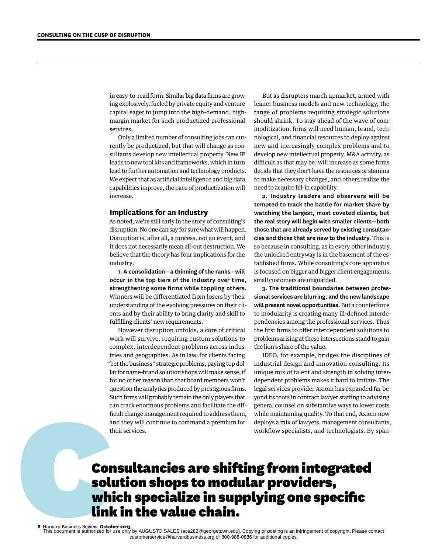in easy-to-read form. Similar big data firms are growing explosively, fueled by private equity and venture capital eager to jump into the high-demand, highmargin market for such productized professional services.

Only a limited number of consulting jobs can currently be productized, but that will change as consultants develop new intellectual property. New IP leads to new tool kits and frameworks, which in turn lead to further automation and technology products. We expect that as artificial intelligence and big data capabilities improve, the pace of productization will increase.

## **Implications for an Industry**

As noted, we're still early in the story of consulting's disruption. No one can say for sure what will happen. Disruption is, after all, a process, not an event, and it does not necessarily mean all-out destruction. We believe that the theory has four implications for the industry:

**1. A consolidation—a thinning of the ranks—will occur in the top tiers of the industry over time, strengthening some firms while toppling others.** Winners will be differentiated from losers by their understanding of the evolving pressures on their clients and by their ability to bring clarity and skill to fulfilling clients' new requirements.

However disruption unfolds, a core of critical work will survive, requiring custom solutions to complex, interdependent problems across industries and geographies. As in law, for clients facing "bet the business" strategic problems, paying top dollar for name-brand solution shops will make sense, if for no other reason than that board members won't question the analytics produced by prestigious firms. Such firms will probably remain the only players that can crack enormous problems and facilitate the difficult change management required to address them, and they will continue to command a premium for their services.

But as disrupters march upmarket, armed with leaner business models and new technology, the range of problems requiring strategic solutions should shrink. To stay ahead of the wave of commoditization, firms will need human, brand, technological, and financial resources to deploy against new and increasingly complex problems and to develop new intellectual property. M&A activity, as difficult as that may be, will increase as some firms decide that they don't have the resources or stamina to make necessary changes, and others realize the need to acquire fill-in capability.

**2. Industry leaders and observers will be tempted to track the battle for market share by watching the largest, most coveted clients, but the real story will begin with smaller clients—both those that are already served by existing consultancies and those that are new to the industry.** This is so because in consulting, as in every other industry, the unlocked entryway is in the basement of the established firms. While consulting's core apparatus is focused on bigger and bigger client engagements, small customers are unguarded.

**3. The traditional boundaries between professional services are blurring, and the new landscape will present novel opportunities.** But a counterforce to modularity is creating many ill-defined interdependencies among the professional services. Thus the first firms to offer interdependent solutions to problems arising at these intersections stand to gain the lion's share of the value.

IDEO, for example, bridges the disciplines of industrial design and innovation consulting. Its unique mix of talent and strength in solving interdependent problems makes it hard to imitate. The legal services provider Axiom has expanded far beyond its roots in contract lawyer staffing to advising general counsel on substantive ways to lower costs while maintaining quality. To that end, Axiom now deploys a mix of lawyers, management consultants, workflow specialists, and technologists. By span-

# Such firms will probably remain the only players that<br>
can crack enormous problems and facilities the different counsel on substantive ways to lower<br>
ficular change management required to address them, while maintaining qu solution shops to modular providers, which specialize in supplying one specific link in the value chain.

**8** Harvard Business Review **October 2013** This document is authorized for use only by AUGUSTO SALES (acs282@georgetown.edu). Copying or posting is an infringement of copyright. Please contact customerservice@harvardbusiness.org or 800-988-0886 for additional copies.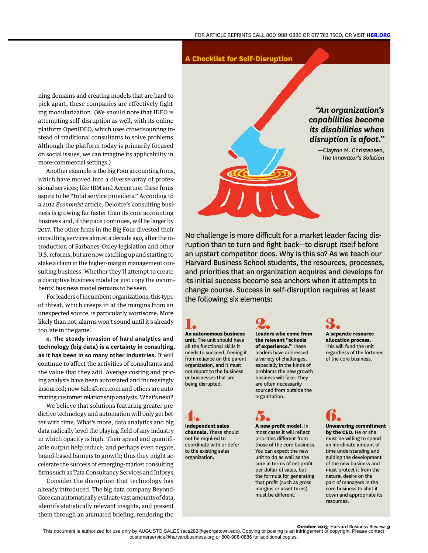# **A Checklist for Self-Disruption**

ning domains and creating models that are hard to pick apart, these companies are effectively fighting modularization. (We should note that IDEO is attempting self-disruption as well, with its online platform OpenIDEO, which uses crowdsourcing instead of traditional consultants to solve problems. Although the platform today is primarily focused on social issues, we can imagine its applicability in more-commercial settings.)

Another example is the Big Four accounting firms, which have moved into a diverse array of professional services; like IBM and Accenture, these firms aspire to be "total service providers." According to a 2012 *Economist* article, Deloitte's consulting business is growing far faster than its core accounting business and, if the pace continues, will be larger by 2017. The other firms in the Big Four divested their consulting services almost a decade ago, after the introduction of Sarbanes-Oxley legislation and other U.S. reforms, but are now catching up and starting to stake a claim in the higher-margin management consulting business. Whether they'll attempt to create a disruptive business model or just copy the incumbents' business model remains to be seen.

For leaders of incumbent organizations, this type of threat, which creeps in at the margins from an unexpected source, is particularly worrisome. More likely than not, alarms won't sound until it's already too late in the game.

**4. The steady invasion of hard analytics and technology (big data) is a certainty in consulting, as it has been in so many other industries.** It will continue to affect the activities of consultants and the value that they add. Average costing and pricing analysis have been automated and increasingly insourced; now Salesforce.com and others are automating customer relationship analysis. What's next?

We believe that solutions featuring greater predictive technology and automation will only get better with time. What's more, data analytics and big data radically level the playing field of any industry in which opacity is high. Their speed and quantifiable output help reduce, and perhaps even negate, brand-based barriers to growth; thus they might accelerate the success of emerging-market consulting firms such as Tata Consultancy Services and Infosys.

Consider the disruption that technology has already introduced. The big data company Beyond-Core can automatically evaluate vast amounts of data, identify statistically relevant insights, and present them through an animated briefing, rendering the

*"An organization's capabilities become its disabilities when disruption is afoot."* —Clayton M. Christensen, *The Innovator's Solution*

No challenge is more difficult for a market leader facing disruption than to turn and fight back—to disrupt itself before an upstart competitor does. Why is this so? As we teach our Harvard Business School students, the resources, processes, and priorities that an organization acquires and develops for its initial success become sea anchors when it attempts to change course. Success in self-disruption requires at least the following six elements:

1. **An autonomous business unit.** The unit should have all the functional skills it needs to succeed, freeing it from reliance on the parent organization, and it must not report to the business or businesses that are being disrupted.

4. **Independent sales channels.** These should not be required to coordinate with or defer to the existing sales organization.

2. **Leaders who come from the relevant "schools of experience."** These leaders have addressed a variety of challenges, especially in the kinds of problems the new growth business will face. They are often necessarily sourced from outside the organization.

# 5. **A new profit model.** In

most cases it will reflect priorities different from those of the core business. You can expect the new unit to do as well as the core in terms of net profit per dollar of sales, but the formula for generating that profit (such as gross margins or asset turns) must be different.



**allocation process.** This will fund the unit regardless of the fortunes of the core business.

6. **Unwavering commitment by the CEO.** He or she must be willing to spend an inordinate amount of time understanding and guiding the development of the new business and must protect it from the natural desire on the part of managers in the core business to shut it down and appropriate its resources.

### **October 2013** Harvard Business Review **9**

This document is authorized for use only by AUGUSTO SALES (acs282@georgetown.edu). Copying or posting is an infringement of copyright. Please contact customerservice@harvardbusiness.org or 800-988-0886 for additional copies.